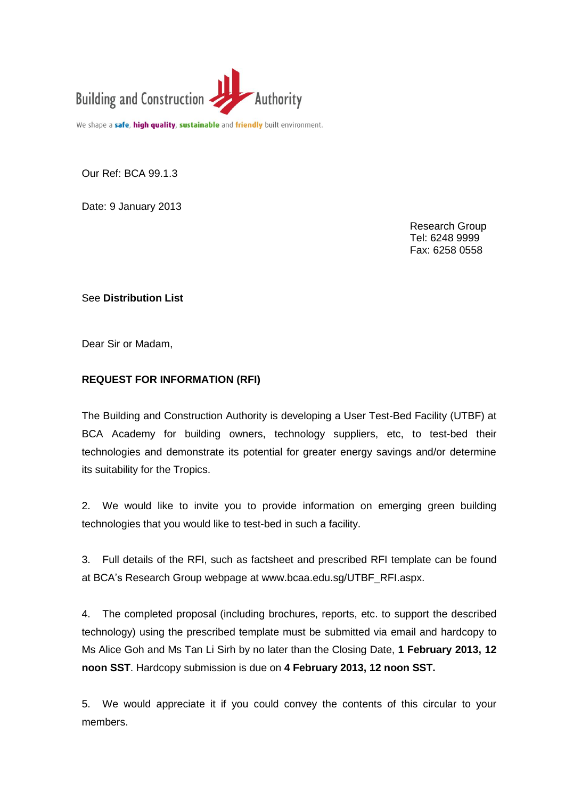

We shape a safe, high quality, sustainable and friendly built environment.

Our Ref: BCA 99.1.3

Date: 9 January 2013

Research Group Tel: 6248 9999 Fax: 6258 0558

See **Distribution List**

Dear Sir or Madam,

## **REQUEST FOR INFORMATION (RFI)**

The Building and Construction Authority is developing a User Test-Bed Facility (UTBF) at BCA Academy for building owners, technology suppliers, etc, to test-bed their technologies and demonstrate its potential for greater energy savings and/or determine its suitability for the Tropics.

2. We would like to invite you to provide information on emerging green building technologies that you would like to test-bed in such a facility.

3. Full details of the RFI, such as factsheet and prescribed RFI template can be found at BCA's Research Group webpage at www.bcaa.edu.sg/UTBF\_RFI.aspx.

4. The completed proposal (including brochures, reports, etc. to support the described technology) using the prescribed template must be submitted via email and hardcopy to Ms Alice Goh and Ms Tan Li Sirh by no later than the Closing Date, **1 February 2013, 12 noon SST**. Hardcopy submission is due on **4 February 2013, 12 noon SST.**

5. We would appreciate it if you could convey the contents of this circular to your members.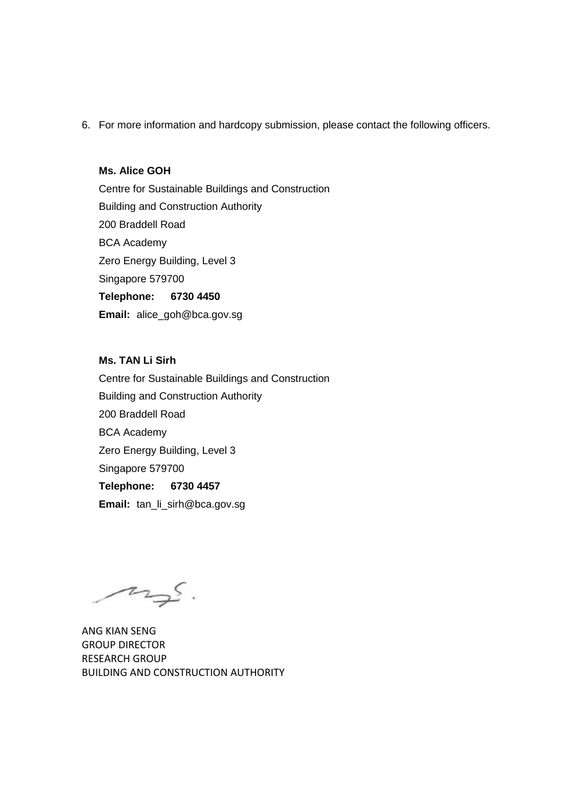6. For more information and hardcopy submission, please contact the following officers.

## **Ms. Alice GOH**

Centre for Sustainable Buildings and Construction Building and Construction Authority 200 Braddell Road BCA Academy Zero Energy Building, Level 3 Singapore 579700 **Telephone: 6730 4450 Email:** alice\_goh@bca.gov.sg

**Ms. TAN Li Sirh** Centre for Sustainable Buildings and Construction Building and Construction Authority 200 Braddell Road BCA Academy Zero Energy Building, Level 3 Singapore 579700 **Telephone: 6730 4457 Email:** tan\_li\_sirh@bca.gov.sg

mgs.

ANG KIAN SENG GROUP DIRECTOR RESEARCH GROUP BUILDING AND CONSTRUCTION AUTHORITY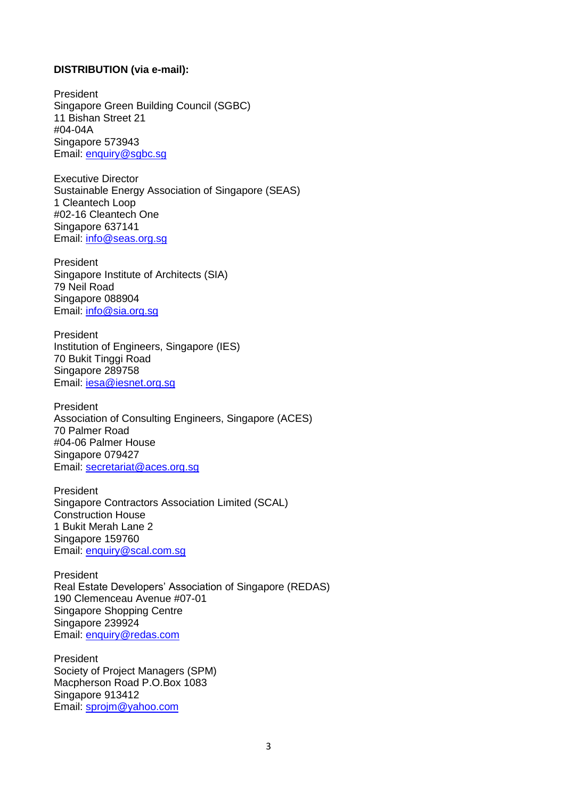## **DISTRIBUTION (via e-mail):**

President Singapore Green Building Council (SGBC) 11 Bishan Street 21 #04-04A Singapore 573943 Email: [enquiry@sgbc.sg](mailto:enquiry@sgbc.sg)

Executive Director Sustainable Energy Association of Singapore (SEAS) 1 Cleantech Loop #02-16 Cleantech One Singapore 637141 Email: [info@seas.org.sg](mailto:info@seas.org.sg)

President Singapore Institute of Architects (SIA) 79 Neil Road Singapore 088904 Email: [info@sia.org.sg](mailto:info@sia.org.sg)

President Institution of Engineers, Singapore (IES) 70 Bukit Tinggi Road Singapore 289758 Email: [iesa@iesnet.org.sg](mailto:iesa@iesnet.org.sg)

President Association of Consulting Engineers, Singapore (ACES) 70 Palmer Road #04-06 Palmer House Singapore 079427 Email: [secretariat@aces.org.sg](mailto:secretariat@aces.org.sg)

President Singapore Contractors Association Limited (SCAL) Construction House 1 Bukit Merah Lane 2 Singapore 159760 Email: [enquiry@scal.com.sg](mailto:enquiry@scal.com.sg)

President Real Estate Developers' Association of Singapore (REDAS) 190 Clemenceau Avenue #07-01 Singapore Shopping Centre Singapore 239924 Email: [enquiry@redas.com](mailto:enquiry@redas.com)

President Society of Project Managers (SPM) Macpherson Road P.O.Box 1083 Singapore 913412 Email: [sprojm@yahoo.com](mailto:sprojm@yahoo.com)